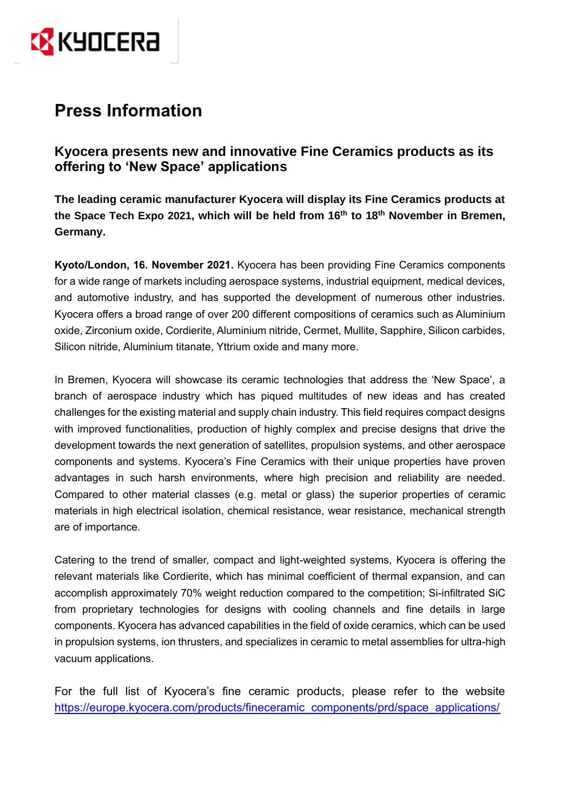

## **Press Information**

**Kyocera presents new and innovative Fine Ceramics products as its offering to 'New Space' applications**

**The leading ceramic manufacturer Kyocera will display its Fine Ceramics products at the Space Tech Expo 2021, which will be held from 16th to 18th November in Bremen, Germany.** 

**Kyoto/London, 16. November 2021.** Kyocera has been providing Fine Ceramics components for a wide range of markets including aerospace systems, industrial equipment, medical devices, and automotive industry, and has supported the development of numerous other industries. Kyocera offers a broad range of over 200 different compositions of ceramics such as Aluminium oxide, Zirconium oxide, Cordierite, Aluminium nitride, Cermet, Mullite, Sapphire, Silicon carbides, Silicon nitride, Aluminium titanate, Yttrium oxide and many more.

In Bremen, Kyocera will showcase its ceramic technologies that address the 'New Space', a branch of aerospace industry which has piqued multitudes of new ideas and has created challenges for the existing material and supply chain industry. This field requires compact designs with improved functionalities, production of highly complex and precise designs that drive the development towards the next generation of satellites, propulsion systems, and other aerospace components and systems. Kyocera's Fine Ceramics with their unique properties have proven advantages in such harsh environments, where high precision and reliability are needed. Compared to other material classes (e.g. metal or glass) the superior properties of ceramic materials in high electrical isolation, chemical resistance, wear resistance, mechanical strength are of importance.

Catering to the trend of smaller, compact and light-weighted systems, Kyocera is offering the relevant materials like Cordierite, which has minimal coefficient of thermal expansion, and can accomplish approximately 70% weight reduction compared to the competition; Si-infiltrated SiC from proprietary technologies for designs with cooling channels and fine details in large components. Kyocera has advanced capabilities in the field of oxide ceramics, which can be used in propulsion systems, ion thrusters, and specializes in ceramic to metal assemblies for ultra-high vacuum applications.

For the full list of Kyocera's fine ceramic products, please refer to the website [https://europe.kyocera.com/products/fineceramic\\_components/prd/space\\_applications/](https://europe.kyocera.com/products/fineceramic_components/prd/space_applications/)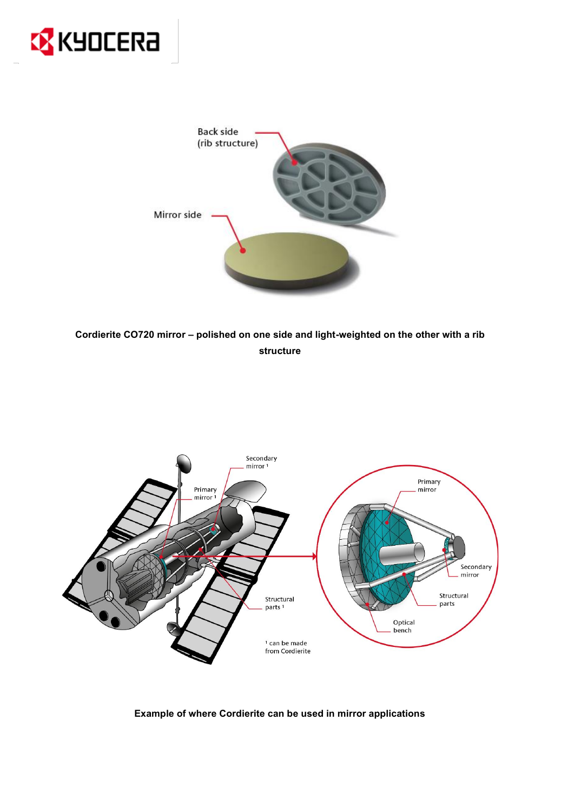



**Cordierite CO720 mirror – polished on one side and light-weighted on the other with a rib structure**



**Example of where Cordierite can be used in mirror applications**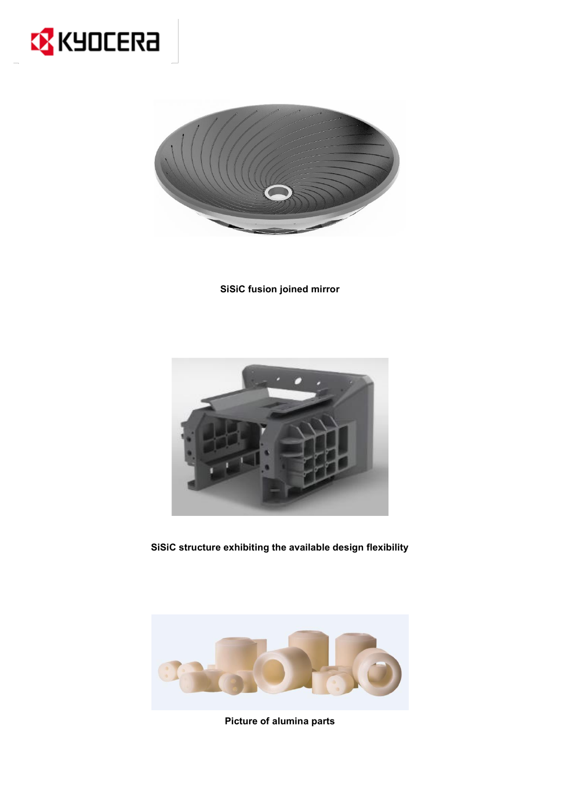



**SiSiC fusion joined mirror**



**SiSiC structure exhibiting the available design flexibility**



**Picture of alumina parts**